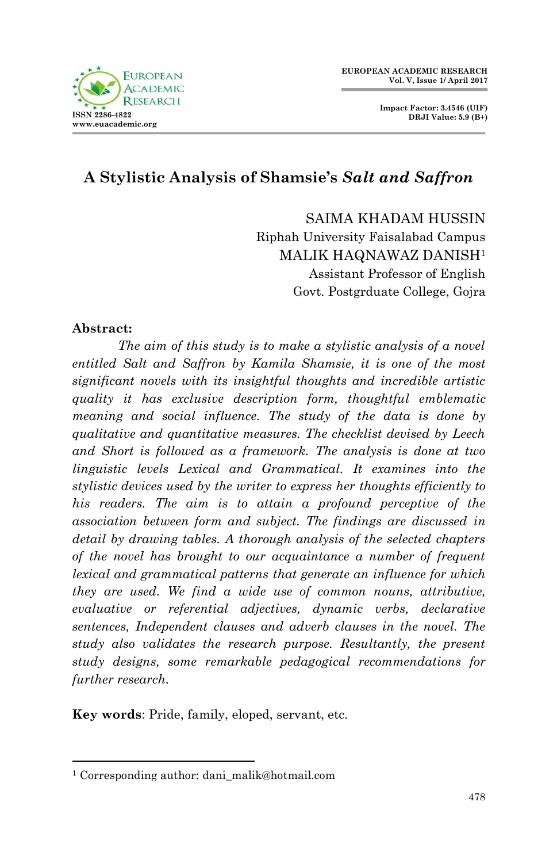



# **A Stylistic Analysis of Shamsie's** *Salt and Saffron*

SAIMA KHADAM HUSSIN Riphah University Faisalabad Campus MALIK HAQNAWAZ DANISH<sup>1</sup> Assistant Professor of English Govt. Postgrduate College, Gojra

#### **Abstract:**

1

*The aim of this study is to make a stylistic analysis of a novel entitled Salt and Saffron by Kamila Shamsie, it is one of the most significant novels with its insightful thoughts and incredible artistic quality it has exclusive description form, thoughtful emblematic meaning and social influence. The study of the data is done by qualitative and quantitative measures. The checklist devised by Leech and Short is followed as a framework. The analysis is done at two linguistic levels Lexical and Grammatical. It examines into the stylistic devices used by the writer to express her thoughts efficiently to his readers. The aim is to attain a profound perceptive of the association between form and subject. The findings are discussed in detail by drawing tables. A thorough analysis of the selected chapters of the novel has brought to our acquaintance a number of frequent lexical and grammatical patterns that generate an influence for which they are used. We find a wide use of common nouns, attributive, evaluative or referential adjectives, dynamic verbs, declarative sentences, Independent clauses and adverb clauses in the novel. The study also validates the research purpose. Resultantly, the present study designs, some remarkable pedagogical recommendations for further research.*

**Key words**: Pride, family, eloped, servant, etc.

<sup>&</sup>lt;sup>1</sup> Corresponding author: dani\_malik@hotmail.com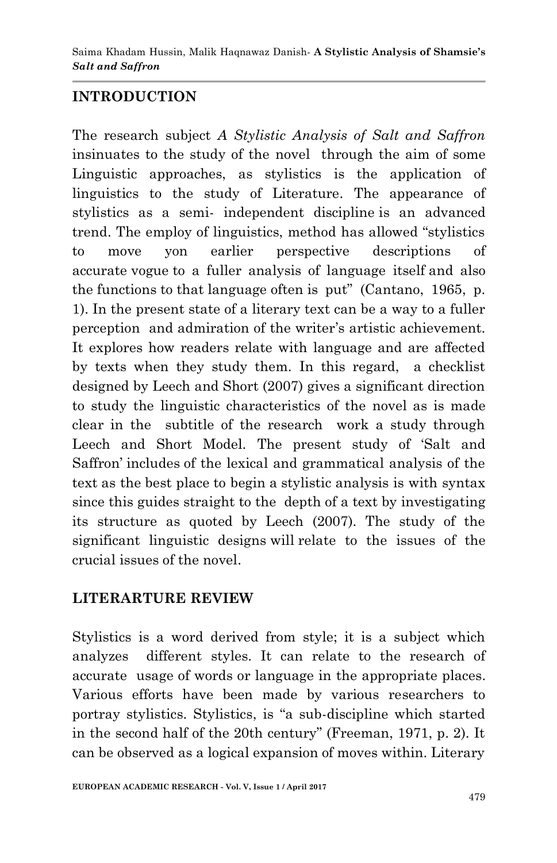## **INTRODUCTION**

The research subject *A Stylistic Analysis of Salt and Saffron* insinuates to the study of the novel through the aim of some Linguistic approaches, as stylistics is the application of linguistics to the study of Literature. The appearance of stylistics as a semi- independent discipline is an advanced trend. The employ of linguistics, method has allowed "stylistics to move yon earlier perspective descriptions of accurate vogue to a fuller analysis of language itself and also the functions to that language often is put" (Cantano, 1965, p. 1). In the present state of a literary text can be a way to a fuller perception and admiration of the writer"s artistic achievement. It explores how readers relate with language and are affected by texts when they study them. In this regard, a checklist designed by Leech and Short (2007) gives a significant direction to study the linguistic characteristics of the novel as is made clear in the subtitle of the research work a study through Leech and Short Model. The present study of "Salt and Saffron" includes of the lexical and grammatical analysis of the text as the best place to begin a stylistic analysis is with syntax since this guides straight to the depth of a text by investigating its structure as quoted by Leech (2007). The study of the significant linguistic designs will relate to the issues of the crucial issues of the novel.

#### **LITERARTURE REVIEW**

Stylistics is a word derived from style; it is a subject which analyzes different styles. It can relate to the research of accurate usage of words or language in the appropriate places. Various efforts have been made by various researchers to portray stylistics. Stylistics, is "a sub-discipline which started in the second half of the 20th century" (Freeman, 1971, p. 2). It can be observed as a logical expansion of moves within. Literary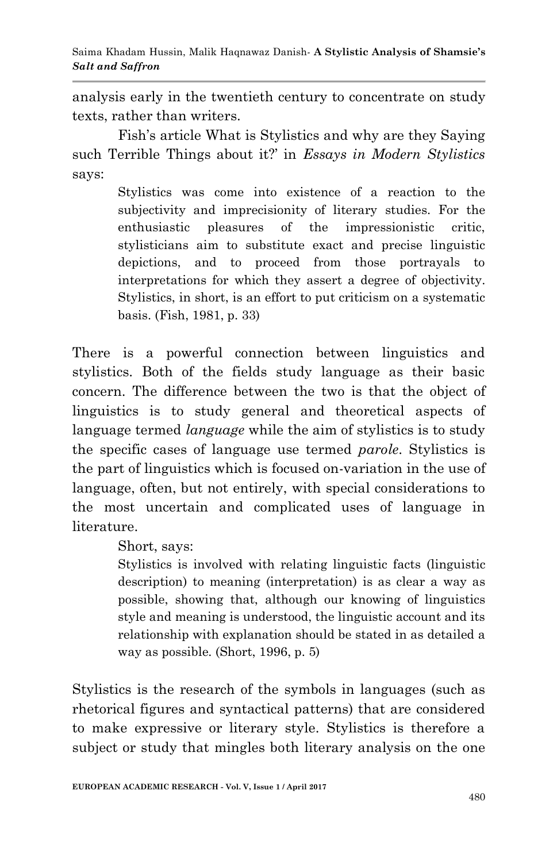analysis early in the twentieth century to concentrate on study texts, rather than writers.

Fish"s article What is Stylistics and why are they Saying such Terrible Things about it?" in *Essays in Modern Stylistics*  says:

> Stylistics was come into existence of a reaction to the subjectivity and imprecisionity of literary studies. For the enthusiastic pleasures of the impressionistic critic, stylisticians aim to substitute exact and precise linguistic depictions, and to proceed from those portrayals to interpretations for which they assert a degree of objectivity. Stylistics, in short, is an effort to put criticism on a systematic basis. (Fish, 1981, p. 33)

There is a powerful connection between linguistics and stylistics. Both of the fields study language as their basic concern. The difference between the two is that the object of linguistics is to study general and theoretical aspects of language termed *language* while the aim of stylistics is to study the specific cases of language use termed *parole*. Stylistics is the part of linguistics which is focused on-variation in the use of language, often, but not entirely, with special considerations to the most uncertain and complicated uses of language in literature.

Short, says:

Stylistics is involved with relating linguistic facts (linguistic description) to meaning (interpretation) is as clear a way as possible, showing that, although our knowing of linguistics style and meaning is understood, the linguistic account and its relationship with explanation should be stated in as detailed a way as possible. (Short, 1996, p. 5)

Stylistics is the research of the symbols in languages (such as rhetorical figures and syntactical patterns) that are considered to make expressive or literary style. Stylistics is therefore a subject or study that mingles both literary analysis on the one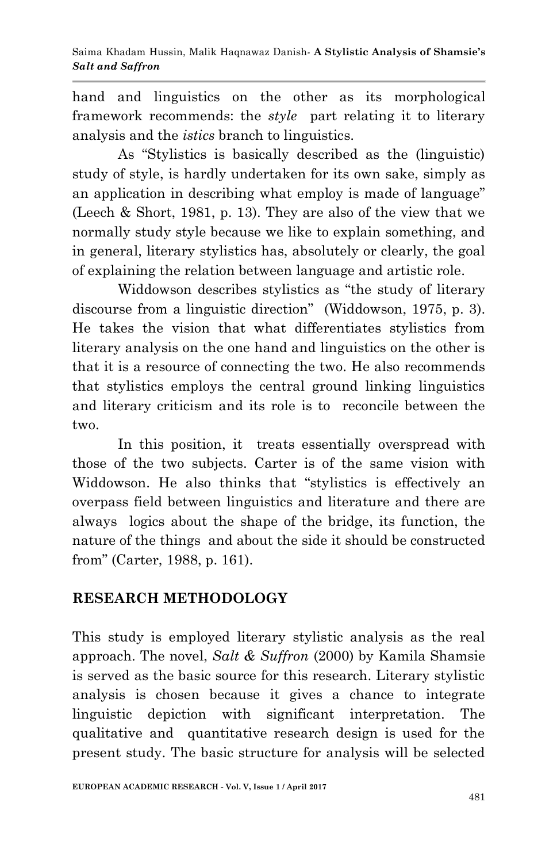hand and linguistics on the other as its morphological framework recommends: the *style* part relating it to literary analysis and the *istics* branch to linguistics.

As "Stylistics is basically described as the (linguistic) study of style, is hardly undertaken for its own sake, simply as an application in describing what employ is made of language" (Leech & Short, 1981, p. 13). They are also of the view that we normally study style because we like to explain something, and in general, literary stylistics has, absolutely or clearly, the goal of explaining the relation between language and artistic role.

Widdowson describes stylistics as "the study of literary discourse from a linguistic direction" (Widdowson, 1975, p. 3). He takes the vision that what differentiates stylistics from literary analysis on the one hand and linguistics on the other is that it is a resource of connecting the two. He also recommends that stylistics employs the central ground linking linguistics and literary criticism and its role is to reconcile between the two.

In this position, it treats essentially overspread with those of the two subjects. Carter is of the same vision with Widdowson. He also thinks that "stylistics is effectively an overpass field between linguistics and literature and there are always logics about the shape of the bridge, its function, the nature of the things and about the side it should be constructed from" (Carter, 1988, p. 161).

## **RESEARCH METHODOLOGY**

This study is employed literary stylistic analysis as the real approach. The novel, *Salt & Suffron* (2000) by Kamila Shamsie is served as the basic source for this research. Literary stylistic analysis is chosen because it gives a chance to integrate linguistic depiction with significant interpretation. The qualitative and quantitative research design is used for the present study. The basic structure for analysis will be selected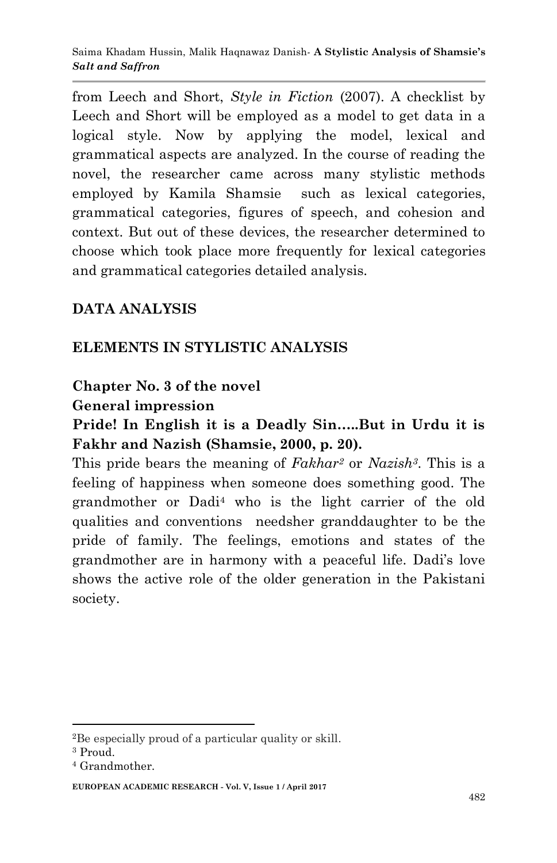from Leech and Short, *Style in Fiction* (2007). A checklist by Leech and Short will be employed as a model to get data in a logical style. Now by applying the model, lexical and grammatical aspects are analyzed. In the course of reading the novel, the researcher came across many stylistic methods employed by Kamila Shamsie such as lexical categories, grammatical categories, figures of speech, and cohesion and context. But out of these devices, the researcher determined to choose which took place more frequently for lexical categories and grammatical categories detailed analysis.

### **DATA ANALYSIS**

### **ELEMENTS IN STYLISTIC ANALYSIS**

### **Chapter No. 3 of the novel**

#### **General impression**

### **Pride! In English it is a Deadly Sin…..But in Urdu it is Fakhr and Nazish (Shamsie, 2000, p. 20).**

This pride bears the meaning of *Fakhar<sup>2</sup>* or *Nazish3*. This is a feeling of happiness when someone does something good. The grandmother or Dadi<sup>4</sup> who is the light carrier of the old qualities and conventions needsher granddaughter to be the pride of family. The feelings, emotions and states of the grandmother are in harmony with a peaceful life. Dadi"s love shows the active role of the older generation in the Pakistani society.

1

<sup>2</sup>Be especially proud of a particular quality or skill.

<sup>3</sup> Proud.

<sup>4</sup> Grandmother.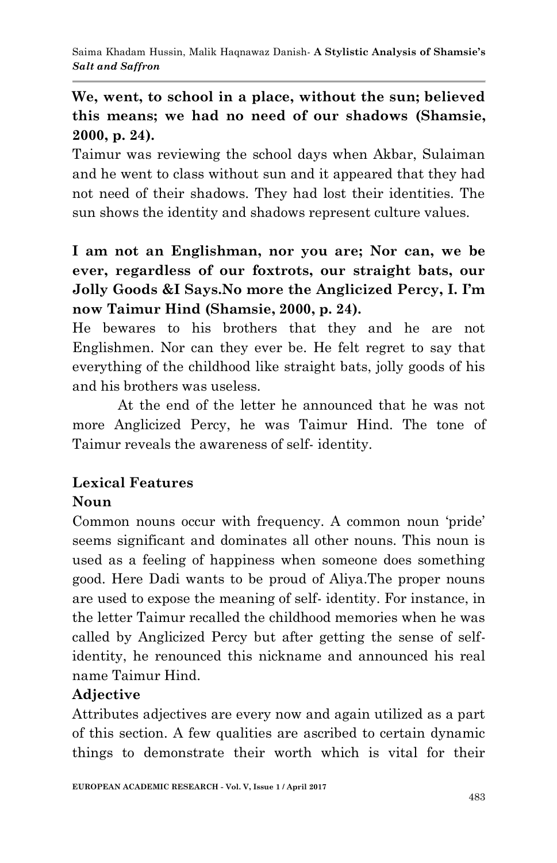# **We, went, to school in a place, without the sun; believed this means; we had no need of our shadows (Shamsie, 2000, p. 24).**

Taimur was reviewing the school days when Akbar, Sulaiman and he went to class without sun and it appeared that they had not need of their shadows. They had lost their identities. The sun shows the identity and shadows represent culture values.

# **I am not an Englishman, nor you are; Nor can, we be ever, regardless of our foxtrots, our straight bats, our Jolly Goods &I Says.No more the Anglicized Percy, I. I'm now Taimur Hind (Shamsie, 2000, p. 24).**

He bewares to his brothers that they and he are not Englishmen. Nor can they ever be. He felt regret to say that everything of the childhood like straight bats, jolly goods of his and his brothers was useless.

At the end of the letter he announced that he was not more Anglicized Percy, he was Taimur Hind. The tone of Taimur reveals the awareness of self- identity.

# **Lexical Features**

## **Noun**

Common nouns occur with frequency. A common noun "pride" seems significant and dominates all other nouns. This noun is used as a feeling of happiness when someone does something good. Here Dadi wants to be proud of Aliya.The proper nouns are used to expose the meaning of self- identity. For instance, in the letter Taimur recalled the childhood memories when he was called by Anglicized Percy but after getting the sense of selfidentity, he renounced this nickname and announced his real name Taimur Hind.

## **Adjective**

Attributes adjectives are every now and again utilized as a part of this section. A few qualities are ascribed to certain dynamic things to demonstrate their worth which is vital for their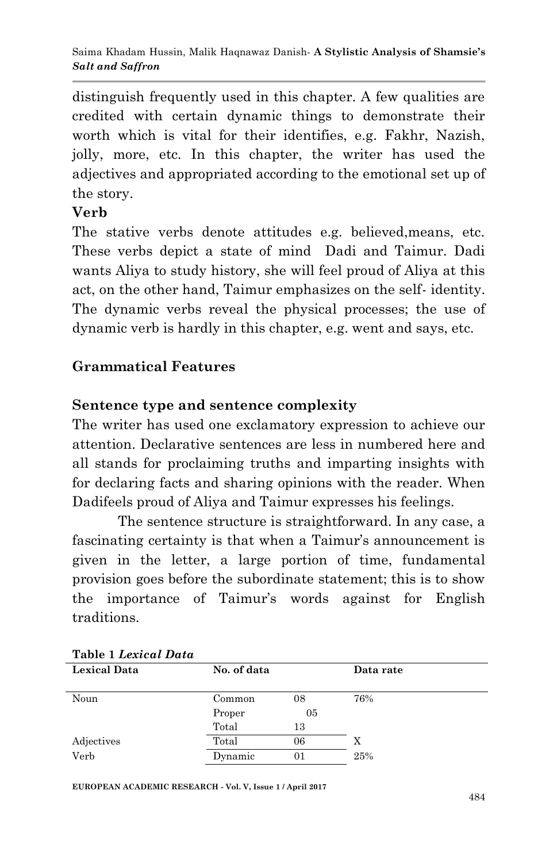distinguish frequently used in this chapter. A few qualities are credited with certain dynamic things to demonstrate their worth which is vital for their identifies, e.g. Fakhr, Nazish, jolly, more, etc. In this chapter, the writer has used the adjectives and appropriated according to the emotional set up of the story.

### **Verb**

The stative verbs denote attitudes e.g. believed,means, etc. These verbs depict a state of mind Dadi and Taimur. Dadi wants Aliya to study history, she will feel proud of Aliya at this act, on the other hand, Taimur emphasizes on the self- identity. The dynamic verbs reveal the physical processes; the use of dynamic verb is hardly in this chapter, e.g. went and says, etc.

# **Grammatical Features**

# **Sentence type and sentence complexity**

The writer has used one exclamatory expression to achieve our attention. Declarative sentences are less in numbered here and all stands for proclaiming truths and imparting insights with for declaring facts and sharing opinions with the reader. When Dadifeels proud of Aliya and Taimur expresses his feelings.

The sentence structure is straightforward. In any case, a fascinating certainty is that when a Taimur's announcement is given in the letter, a large portion of time, fundamental provision goes before the subordinate statement; this is to show the importance of Taimur"s words against for English traditions.

| Table <i>I Lexicul Dulu</i> |             |    |     |  |  |
|-----------------------------|-------------|----|-----|--|--|
| <b>Lexical Data</b>         | No. of data |    |     |  |  |
| Noun                        | Common      | 08 | 76% |  |  |
|                             | Proper      | 05 |     |  |  |
|                             | Total       | 13 |     |  |  |
| Adjectives                  | Total       | 06 |     |  |  |
| Verb                        | Dynamic     | 01 | 25% |  |  |

|  |  | Table 1 Lexical Data |  |
|--|--|----------------------|--|
|--|--|----------------------|--|

**EUROPEAN ACADEMIC RESEARCH - Vol. V, Issue 1 / April 2017**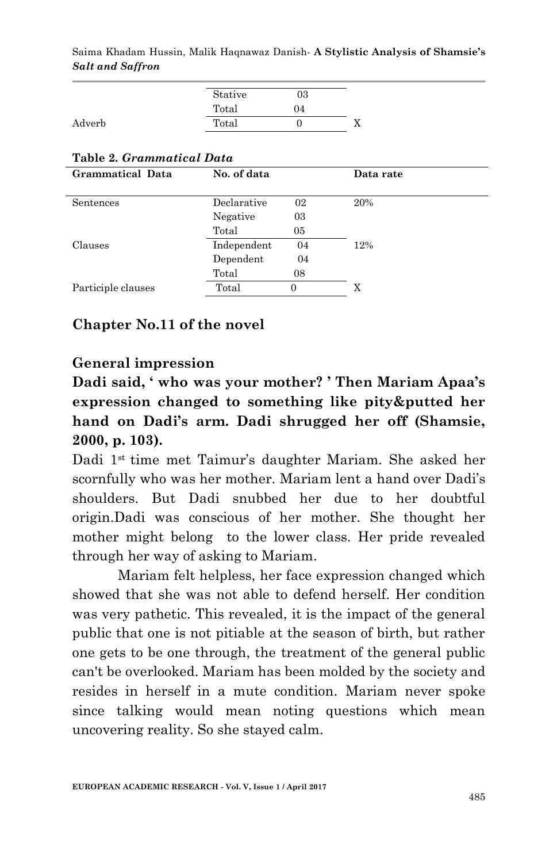Saima Khadam Hussin, Malik Haqnawaz Danish*-* **A Stylistic Analysis of Shamsie's**  *Salt and Saffron*

|        | Stative | 03 |  |
|--------|---------|----|--|
|        | Total   | 04 |  |
| Adverb | Total   |    |  |

#### **Table 2.** *Grammatical Data*

| Grammatical Data   | No. of data |    | Data rate |
|--------------------|-------------|----|-----------|
|                    |             |    |           |
| Sentences          | Declarative | 02 | 20%       |
|                    | Negative    | 03 |           |
|                    | Total       | 05 |           |
| Clauses            | Independent | 04 | 12%       |
|                    | Dependent   | 04 |           |
|                    | Total       | 08 |           |
| Participle clauses | Total       | 0  | Х         |
|                    |             |    |           |

#### **Chapter No.11 of the novel**

#### **General impression**

**Dadi said, ' who was your mother? ' Then Mariam Apaa's expression changed to something like pity&putted her hand on Dadi's arm. Dadi shrugged her off (Shamsie, 2000, p. 103).**

Dadi 1st time met Taimur"s daughter Mariam. She asked her scornfully who was her mother. Mariam lent a hand over Dadi"s shoulders. But Dadi snubbed her due to her doubtful origin.Dadi was conscious of her mother. She thought her mother might belong to the lower class. Her pride revealed through her way of asking to Mariam.

Mariam felt helpless, her face expression changed which showed that she was not able to defend herself. Her condition was very pathetic. This revealed, it is the impact of the general public that one is not pitiable at the season of birth, but rather one gets to be one through, the treatment of the general public can't be overlooked. Mariam has been molded by the society and resides in herself in a mute condition. Mariam never spoke since talking would mean noting questions which mean uncovering reality. So she stayed calm.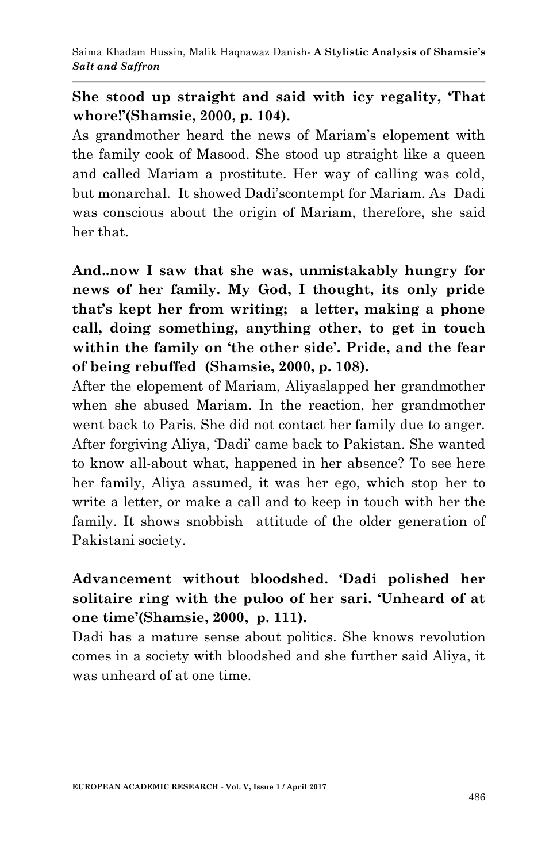### **She stood up straight and said with icy regality, 'That whore!'(Shamsie, 2000, p. 104).**

As grandmother heard the news of Mariam"s elopement with the family cook of Masood. She stood up straight like a queen and called Mariam a prostitute. Her way of calling was cold, but monarchal. It showed Dadi"scontempt for Mariam. As Dadi was conscious about the origin of Mariam, therefore, she said her that.

**And..now I saw that she was, unmistakably hungry for news of her family. My God, I thought, its only pride that's kept her from writing; a letter, making a phone call, doing something, anything other, to get in touch within the family on 'the other side'. Pride, and the fear of being rebuffed (Shamsie, 2000, p. 108).**

After the elopement of Mariam, Aliyaslapped her grandmother when she abused Mariam. In the reaction, her grandmother went back to Paris. She did not contact her family due to anger. After forgiving Aliya, "Dadi" came back to Pakistan. She wanted to know all-about what, happened in her absence? To see here her family, Aliya assumed, it was her ego, which stop her to write a letter, or make a call and to keep in touch with her the family. It shows snobbish attitude of the older generation of Pakistani society.

## **Advancement without bloodshed. 'Dadi polished her solitaire ring with the puloo of her sari. 'Unheard of at one time'(Shamsie, 2000, p. 111).**

Dadi has a mature sense about politics. She knows revolution comes in a society with bloodshed and she further said Aliya, it was unheard of at one time.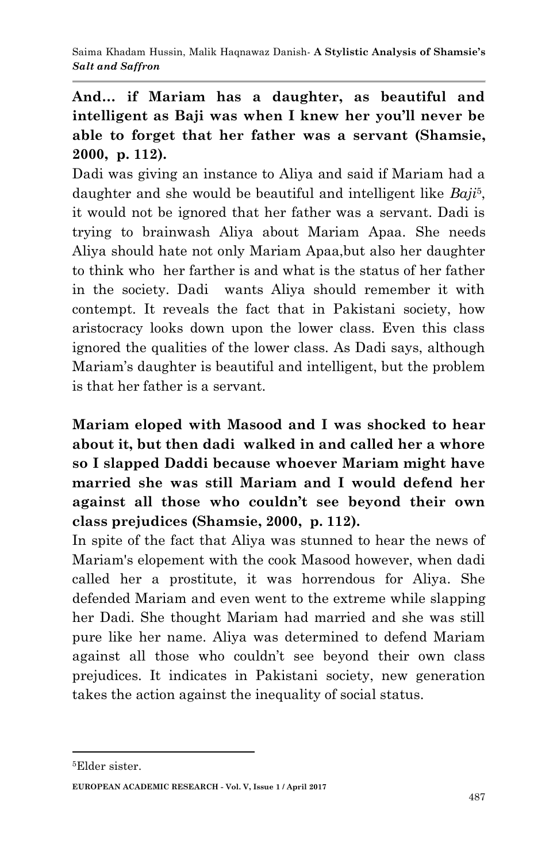**And… if Mariam has a daughter, as beautiful and intelligent as Baji was when I knew her you'll never be able to forget that her father was a servant (Shamsie, 2000, p. 112).**

Dadi was giving an instance to Aliya and said if Mariam had a daughter and she would be beautiful and intelligent like *Baji*<sup>5</sup> , it would not be ignored that her father was a servant. Dadi is trying to brainwash Aliya about Mariam Apaa. She needs Aliya should hate not only Mariam Apaa,but also her daughter to think who her farther is and what is the status of her father in the society. Dadi wants Aliya should remember it with contempt. It reveals the fact that in Pakistani society, how aristocracy looks down upon the lower class. Even this class ignored the qualities of the lower class. As Dadi says, although Mariam"s daughter is beautiful and intelligent, but the problem is that her father is a servant.

**Mariam eloped with Masood and I was shocked to hear about it, but then dadi walked in and called her a whore so I slapped Daddi because whoever Mariam might have married she was still Mariam and I would defend her against all those who couldn't see beyond their own class prejudices (Shamsie, 2000, p. 112).**

In spite of the fact that Aliya was stunned to hear the news of Mariam's elopement with the cook Masood however, when dadi called her a prostitute, it was horrendous for Aliya. She defended Mariam and even went to the extreme while slapping her Dadi. She thought Mariam had married and she was still pure like her name. Aliya was determined to defend Mariam against all those who couldn"t see beyond their own class prejudices. It indicates in Pakistani society, new generation takes the action against the inequality of social status.

1

<sup>5</sup>Elder sister.

**EUROPEAN ACADEMIC RESEARCH - Vol. V, Issue 1 / April 2017**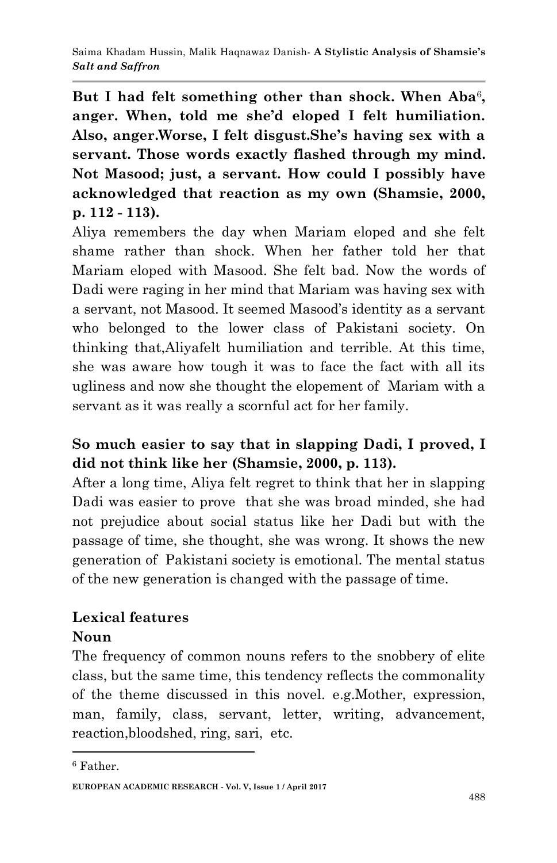But I had felt something other than shock. When Aba<sup>6</sup>, **anger. When, told me she'd eloped I felt humiliation. Also, anger.Worse, I felt disgust.She's having sex with a servant. Those words exactly flashed through my mind. Not Masood; just, a servant. How could I possibly have acknowledged that reaction as my own (Shamsie, 2000, p. 112 - 113).**

Aliya remembers the day when Mariam eloped and she felt shame rather than shock. When her father told her that Mariam eloped with Masood. She felt bad. Now the words of Dadi were raging in her mind that Mariam was having sex with a servant, not Masood. It seemed Masood"s identity as a servant who belonged to the lower class of Pakistani society. On thinking that,Aliyafelt humiliation and terrible. At this time, she was aware how tough it was to face the fact with all its ugliness and now she thought the elopement of Mariam with a servant as it was really a scornful act for her family.

# **So much easier to say that in slapping Dadi, I proved, I did not think like her (Shamsie, 2000, p. 113).**

After a long time, Aliya felt regret to think that her in slapping Dadi was easier to prove that she was broad minded, she had not prejudice about social status like her Dadi but with the passage of time, she thought, she was wrong. It shows the new generation of Pakistani society is emotional. The mental status of the new generation is changed with the passage of time.

#### **Lexical features Noun**

The frequency of common nouns refers to the snobbery of elite class, but the same time, this tendency reflects the commonality of the theme discussed in this novel. e.g.Mother, expression, man, family, class, servant, letter, writing, advancement, reaction,bloodshed, ring, sari, etc.

1

<sup>6</sup> Father.

**EUROPEAN ACADEMIC RESEARCH - Vol. V, Issue 1 / April 2017**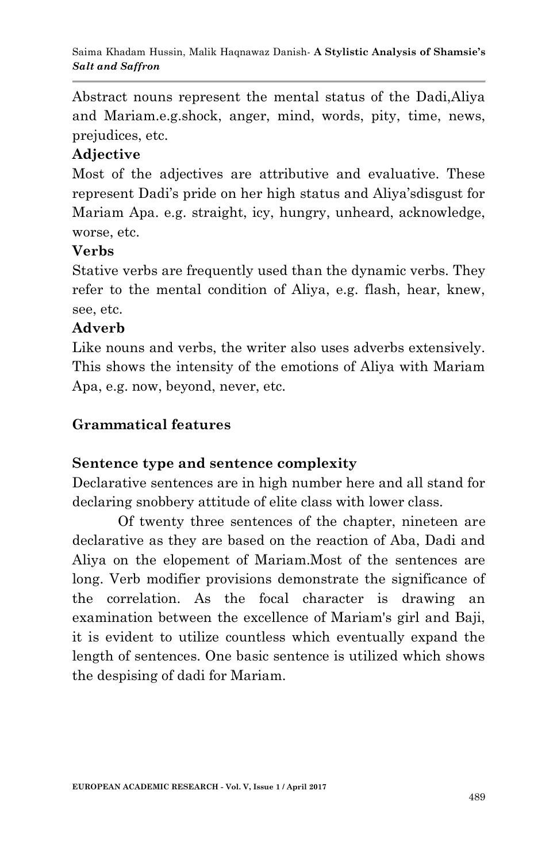Abstract nouns represent the mental status of the Dadi,Aliya and Mariam.e.g.shock, anger, mind, words, pity, time, news, prejudices, etc.

### **Adjective**

Most of the adjectives are attributive and evaluative. These represent Dadi's pride on her high status and Aliya's disgust for Mariam Apa. e.g. straight, icy, hungry, unheard, acknowledge, worse, etc.

#### **Verbs**

Stative verbs are frequently used than the dynamic verbs. They refer to the mental condition of Aliya, e.g. flash, hear, knew, see, etc.

#### **Adverb**

Like nouns and verbs, the writer also uses adverbs extensively. This shows the intensity of the emotions of Aliya with Mariam Apa, e.g. now, beyond, never, etc.

### **Grammatical features**

### **Sentence type and sentence complexity**

Declarative sentences are in high number here and all stand for declaring snobbery attitude of elite class with lower class.

Of twenty three sentences of the chapter, nineteen are declarative as they are based on the reaction of Aba, Dadi and Aliya on the elopement of Mariam.Most of the sentences are long. Verb modifier provisions demonstrate the significance of the correlation. As the focal character is drawing an examination between the excellence of Mariam's girl and Baji, it is evident to utilize countless which eventually expand the length of sentences. One basic sentence is utilized which shows the despising of dadi for Mariam.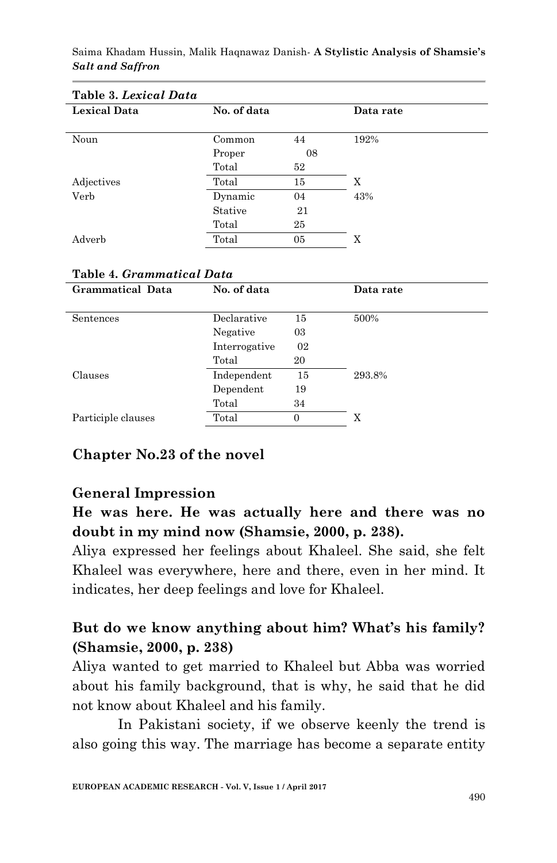| Table 3. Lexical Data |             |    |           |
|-----------------------|-------------|----|-----------|
| <b>Lexical Data</b>   | No. of data |    | Data rate |
|                       |             |    |           |
| Noun                  | Common      | 44 | 192%      |
|                       | Proper      | 08 |           |
|                       | Total       | 52 |           |
| Adjectives            | Total       | 15 | X         |
| Verb                  | Dynamic     | 04 | 43%       |
|                       | Stative     | 21 |           |
|                       | Total       | 25 |           |
| Adverb                | Total       | 05 | X         |

Saima Khadam Hussin, Malik Haqnawaz Danish*-* **A Stylistic Analysis of Shamsie's**  *Salt and Saffron*

#### **Table 4.** *Grammatical Data*

| Grammatical Data   | No. of data   |          | Data rate |
|--------------------|---------------|----------|-----------|
| Sentences          | Declarative   | 15       | 500%      |
|                    | Negative      | 03       |           |
|                    | Interrogative | 02       |           |
|                    | Total         | 20       |           |
| Clauses            | Independent   | 15       | 293.8%    |
|                    | Dependent     | 19       |           |
|                    | Total         | 34       |           |
| Participle clauses | Total         | $\Omega$ | X         |
|                    |               |          |           |

#### **Chapter No.23 of the novel**

#### **General Impression**

**He was here. He was actually here and there was no doubt in my mind now (Shamsie, 2000, p. 238).**

Aliya expressed her feelings about Khaleel. She said, she felt Khaleel was everywhere, here and there, even in her mind. It indicates, her deep feelings and love for Khaleel.

#### **But do we know anything about him? What's his family? (Shamsie, 2000, p. 238)**

Aliya wanted to get married to Khaleel but Abba was worried about his family background, that is why, he said that he did not know about Khaleel and his family.

In Pakistani society, if we observe keenly the trend is also going this way. The marriage has become a separate entity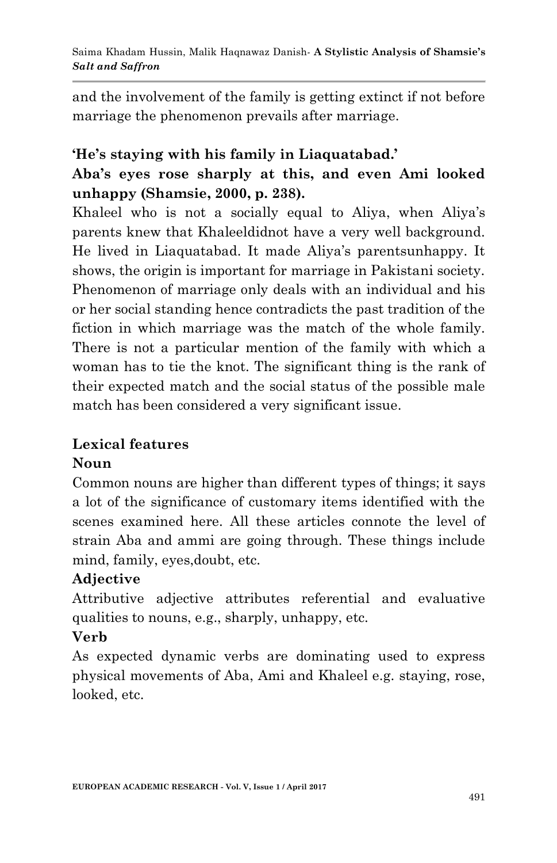and the involvement of the family is getting extinct if not before marriage the phenomenon prevails after marriage.

# **'He's staying with his family in Liaquatabad.' Aba's eyes rose sharply at this, and even Ami looked unhappy (Shamsie, 2000, p. 238).**

Khaleel who is not a socially equal to Aliya, when Aliya"s parents knew that Khaleeldidnot have a very well background. He lived in Liaquatabad. It made Aliya"s parentsunhappy. It shows, the origin is important for marriage in Pakistani society. Phenomenon of marriage only deals with an individual and his or her social standing hence contradicts the past tradition of the fiction in which marriage was the match of the whole family. There is not a particular mention of the family with which a woman has to tie the knot. The significant thing is the rank of their expected match and the social status of the possible male match has been considered a very significant issue.

## **Lexical features**

### **Noun**

Common nouns are higher than different types of things; it says a lot of the significance of customary items identified with the scenes examined here. All these articles connote the level of strain Aba and ammi are going through. These things include mind, family, eyes,doubt, etc.

### **Adjective**

Attributive adjective attributes referential and evaluative qualities to nouns, e.g., sharply, unhappy, etc.

### **Verb**

As expected dynamic verbs are dominating used to express physical movements of Aba, Ami and Khaleel e.g. staying, rose, looked, etc.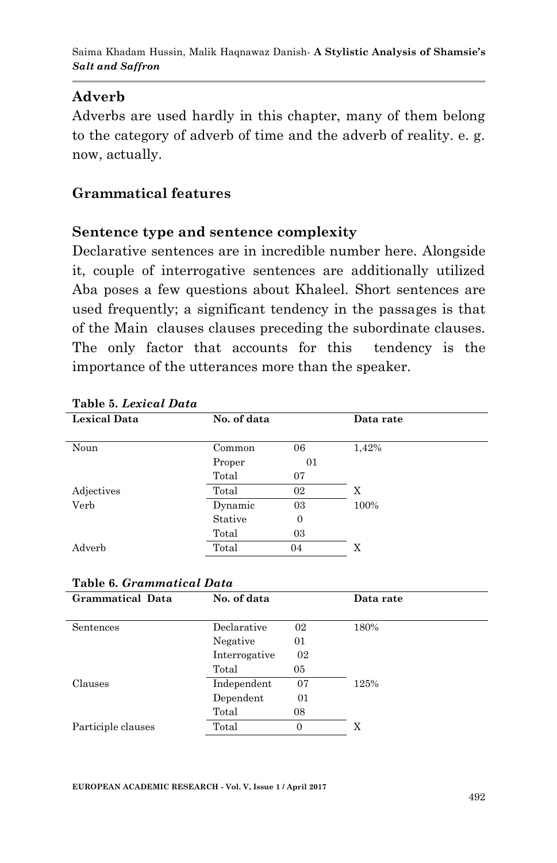#### **Adverb**

Adverbs are used hardly in this chapter, many of them belong to the category of adverb of time and the adverb of reality. e. g. now, actually.

#### **Grammatical features**

#### **Sentence type and sentence complexity**

Declarative sentences are in incredible number here. Alongside it, couple of interrogative sentences are additionally utilized Aba poses a few questions about Khaleel. Short sentences are used frequently; a significant tendency in the passages is that of the Main clauses clauses preceding the subordinate clauses. The only factor that accounts for this tendency is the importance of the utterances more than the speaker.

| <b>Lexical Data</b> | No. of data |                | Data rate |  |
|---------------------|-------------|----------------|-----------|--|
|                     |             |                |           |  |
| Noun                | Common      | 06             | 1,42%     |  |
|                     | Proper      | 01             |           |  |
|                     | Total       | 07             |           |  |
| Adjectives          | Total       | 02             | X         |  |
| Verb                | Dynamic     | 03             | 100%      |  |
|                     | Stative     | $\overline{0}$ |           |  |
|                     | Total       | 03             |           |  |
| Adverb              | Total       | 04             | X         |  |

#### **Table 5.** *Lexical Data*

|  |  | Table 6. Grammatical Data |  |
|--|--|---------------------------|--|
|--|--|---------------------------|--|

| Grammatical Data   | No. of data   |    | Data rate |
|--------------------|---------------|----|-----------|
|                    |               |    |           |
| Sentences          | Declarative   | 02 | 180%      |
|                    | Negative      | 01 |           |
|                    | Interrogative | 02 |           |
|                    | Total         | 05 |           |
| Clauses            | Independent   | 07 | 125%      |
|                    | Dependent     | 01 |           |
|                    | Total         | 08 |           |
| Participle clauses | Total         | 0  | X         |
|                    |               |    |           |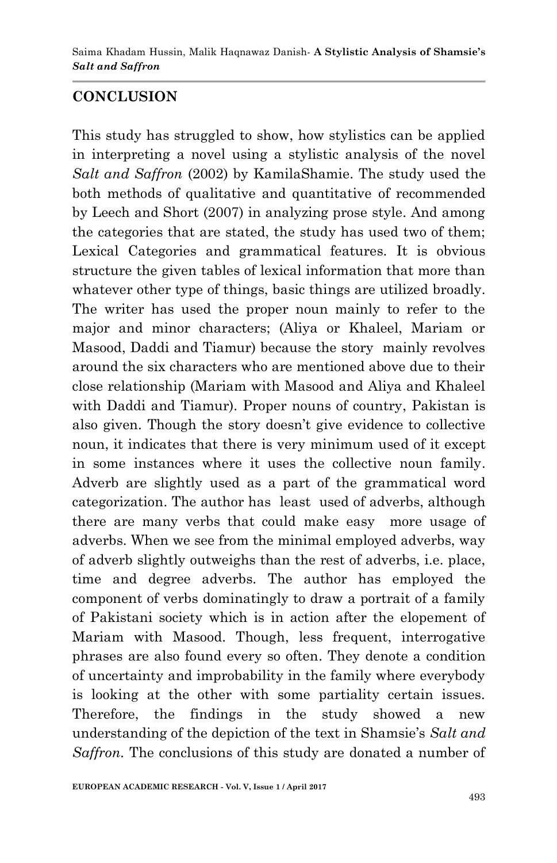### **CONCLUSION**

This study has struggled to show, how stylistics can be applied in interpreting a novel using a stylistic analysis of the novel *Salt and Saffron* (2002) by KamilaShamie. The study used the both methods of qualitative and quantitative of recommended by Leech and Short (2007) in analyzing prose style. And among the categories that are stated, the study has used two of them; Lexical Categories and grammatical features. It is obvious structure the given tables of lexical information that more than whatever other type of things, basic things are utilized broadly. The writer has used the proper noun mainly to refer to the major and minor characters; (Aliya or Khaleel, Mariam or Masood, Daddi and Tiamur) because the story mainly revolves around the six characters who are mentioned above due to their close relationship (Mariam with Masood and Aliya and Khaleel with Daddi and Tiamur). Proper nouns of country, Pakistan is also given. Though the story doesn't give evidence to collective noun, it indicates that there is very minimum used of it except in some instances where it uses the collective noun family. Adverb are slightly used as a part of the grammatical word categorization. The author has least used of adverbs, although there are many verbs that could make easy more usage of adverbs. When we see from the minimal employed adverbs, way of adverb slightly outweighs than the rest of adverbs, i.e. place, time and degree adverbs. The author has employed the component of verbs dominatingly to draw a portrait of a family of Pakistani society which is in action after the elopement of Mariam with Masood. Though, less frequent, interrogative phrases are also found every so often. They denote a condition of uncertainty and improbability in the family where everybody is looking at the other with some partiality certain issues. Therefore, the findings in the study showed a new understanding of the depiction of the text in Shamsie"s *Salt and Saffron.* The conclusions of this study are donated a number of